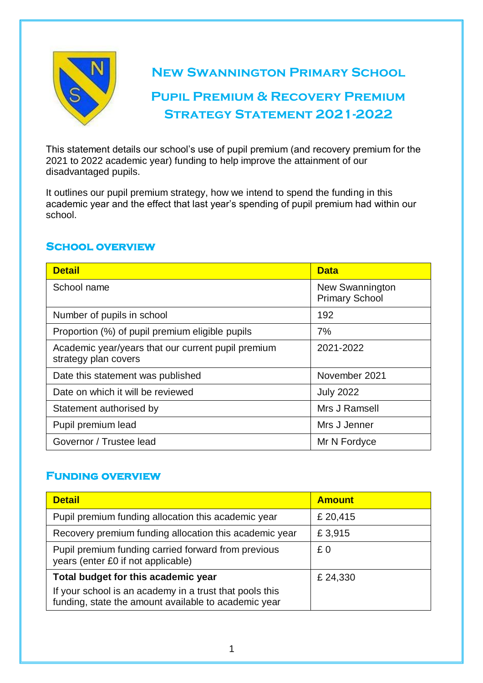

**New Swannington Primary School**

# **Pupil Premium & Recovery Premium STRATEGY STATEMENT 2021-2022**

This statement details our school's use of pupil premium (and recovery premium for the 2021 to 2022 academic year) funding to help improve the attainment of our disadvantaged pupils.

It outlines our pupil premium strategy, how we intend to spend the funding in this academic year and the effect that last year's spending of pupil premium had within our school.

### **School overview**

| <b>Detail</b>                                                              | <b>Data</b>                                     |
|----------------------------------------------------------------------------|-------------------------------------------------|
| School name                                                                | <b>New Swannington</b><br><b>Primary School</b> |
| Number of pupils in school                                                 | 192                                             |
| Proportion (%) of pupil premium eligible pupils                            | 7%                                              |
| Academic year/years that our current pupil premium<br>strategy plan covers | 2021-2022                                       |
| Date this statement was published                                          | November 2021                                   |
| Date on which it will be reviewed                                          | <b>July 2022</b>                                |
| Statement authorised by                                                    | Mrs J Ramsell                                   |
| Pupil premium lead                                                         | Mrs J Jenner                                    |
| Governor / Trustee lead                                                    | Mr N Fordyce                                    |

### **Funding overview**

| <b>Detail</b>                                                                                                   | <b>Amount</b> |
|-----------------------------------------------------------------------------------------------------------------|---------------|
| Pupil premium funding allocation this academic year                                                             | £ 20,415      |
| Recovery premium funding allocation this academic year                                                          | £3,915        |
| Pupil premium funding carried forward from previous<br>years (enter £0 if not applicable)                       | £0            |
| Total budget for this academic year                                                                             | £ 24,330      |
| If your school is an academy in a trust that pools this<br>funding, state the amount available to academic year |               |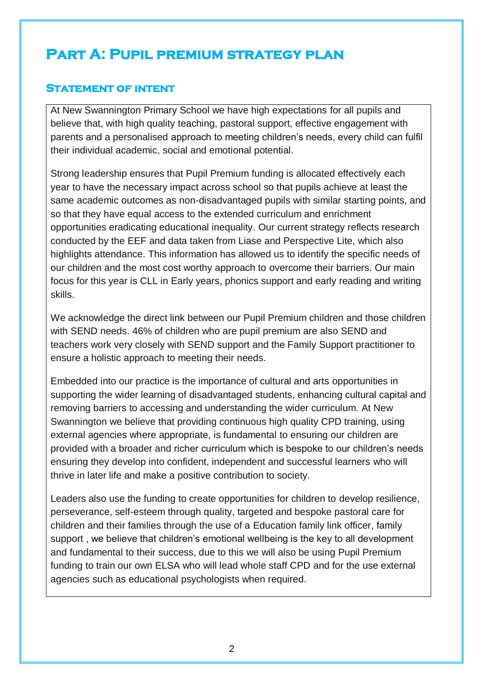# **Part A: Pupil premium strategy plan**

### **Statement of intent**

At New Swannington Primary School we have high expectations for all pupils and believe that, with high quality teaching, pastoral support, effective engagement with parents and a personalised approach to meeting children's needs, every child can fulfil their individual academic, social and emotional potential.

Strong leadership ensures that Pupil Premium funding is allocated effectively each year to have the necessary impact across school so that pupils achieve at least the same academic outcomes as non-disadvantaged pupils with similar starting points, and so that they have equal access to the extended curriculum and enrichment opportunities eradicating educational inequality. Our current strategy reflects research conducted by the EEF and data taken from Liase and Perspective Lite, which also highlights attendance. This information has allowed us to identify the specific needs of our children and the most cost worthy approach to overcome their barriers. Our main focus for this year is CLL in Early years, phonics support and early reading and writing skills.

We acknowledge the direct link between our Pupil Premium children and those children with SEND needs. 46% of children who are pupil premium are also SEND and teachers work very closely with SEND support and the Family Support practitioner to ensure a holistic approach to meeting their needs.

Embedded into our practice is the importance of cultural and arts opportunities in supporting the wider learning of disadvantaged students, enhancing cultural capital and removing barriers to accessing and understanding the wider curriculum. At New Swannington we believe that providing continuous high quality CPD training, using external agencies where appropriate, is fundamental to ensuring our children are provided with a broader and richer curriculum which is bespoke to our children's needs ensuring they develop into confident, independent and successful learners who will thrive in later life and make a positive contribution to society.

Leaders also use the funding to create opportunities for children to develop resilience, perseverance, self-esteem through quality, targeted and bespoke pastoral care for children and their families through the use of a Education family link officer, family support , we believe that children's emotional wellbeing is the key to all development and fundamental to their success, due to this we will also be using Pupil Premium funding to train our own ELSA who will lead whole staff CPD and for the use external agencies such as educational psychologists when required.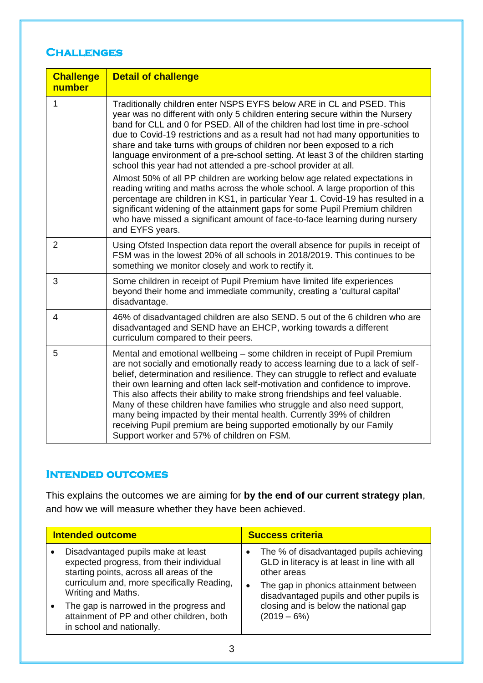#### **Challenges**

| <b>Challenge</b><br>number | <b>Detail of challenge</b>                                                                                                                                                                                                                                                                                                                                                                                                                                                                                                                                                                                                                                                                                                                                                                                                                                                                                                                                                                        |
|----------------------------|---------------------------------------------------------------------------------------------------------------------------------------------------------------------------------------------------------------------------------------------------------------------------------------------------------------------------------------------------------------------------------------------------------------------------------------------------------------------------------------------------------------------------------------------------------------------------------------------------------------------------------------------------------------------------------------------------------------------------------------------------------------------------------------------------------------------------------------------------------------------------------------------------------------------------------------------------------------------------------------------------|
| 1                          | Traditionally children enter NSPS EYFS below ARE in CL and PSED. This<br>year was no different with only 5 children entering secure within the Nursery<br>band for CLL and 0 for PSED. All of the children had lost time in pre-school<br>due to Covid-19 restrictions and as a result had not had many opportunities to<br>share and take turns with groups of children nor been exposed to a rich<br>language environment of a pre-school setting. At least 3 of the children starting<br>school this year had not attended a pre-school provider at all.<br>Almost 50% of all PP children are working below age related expectations in<br>reading writing and maths across the whole school. A large proportion of this<br>percentage are children in KS1, in particular Year 1. Covid-19 has resulted in a<br>significant widening of the attainment gaps for some Pupil Premium children<br>who have missed a significant amount of face-to-face learning during nursery<br>and EYFS years. |
| $\overline{2}$             | Using Ofsted Inspection data report the overall absence for pupils in receipt of<br>FSM was in the lowest 20% of all schools in 2018/2019. This continues to be<br>something we monitor closely and work to rectify it.                                                                                                                                                                                                                                                                                                                                                                                                                                                                                                                                                                                                                                                                                                                                                                           |
| 3                          | Some children in receipt of Pupil Premium have limited life experiences<br>beyond their home and immediate community, creating a 'cultural capital'<br>disadvantage.                                                                                                                                                                                                                                                                                                                                                                                                                                                                                                                                                                                                                                                                                                                                                                                                                              |
| 4                          | 46% of disadvantaged children are also SEND. 5 out of the 6 children who are<br>disadvantaged and SEND have an EHCP, working towards a different<br>curriculum compared to their peers.                                                                                                                                                                                                                                                                                                                                                                                                                                                                                                                                                                                                                                                                                                                                                                                                           |
| 5                          | Mental and emotional wellbeing – some children in receipt of Pupil Premium<br>are not socially and emotionally ready to access learning due to a lack of self-<br>belief, determination and resilience. They can struggle to reflect and evaluate<br>their own learning and often lack self-motivation and confidence to improve.<br>This also affects their ability to make strong friendships and feel valuable.<br>Many of these children have families who struggle and also need support,<br>many being impacted by their mental health. Currently 39% of children<br>receiving Pupil premium are being supported emotionally by our Family<br>Support worker and 57% of children on FSM.                                                                                                                                                                                                                                                                                                    |

### **Intended outcomes**

This explains the outcomes we are aiming for **by the end of our current strategy plan**, and how we will measure whether they have been achieved.

| <b>Intended outcome</b> |                                                                                                                                                                                                                                                                                                                     | <b>Success criteria</b>                                                                                                                                                                                                                               |  |
|-------------------------|---------------------------------------------------------------------------------------------------------------------------------------------------------------------------------------------------------------------------------------------------------------------------------------------------------------------|-------------------------------------------------------------------------------------------------------------------------------------------------------------------------------------------------------------------------------------------------------|--|
|                         | Disadvantaged pupils make at least<br>expected progress, from their individual<br>starting points, across all areas of the<br>curriculum and, more specifically Reading,<br>Writing and Maths.<br>The gap is narrowed in the progress and<br>attainment of PP and other children, both<br>in school and nationally. | The % of disadvantaged pupils achieving<br>GLD in literacy is at least in line with all<br>other areas<br>The gap in phonics attainment between<br>disadvantaged pupils and other pupils is<br>closing and is below the national gap<br>$(2019 - 6%)$ |  |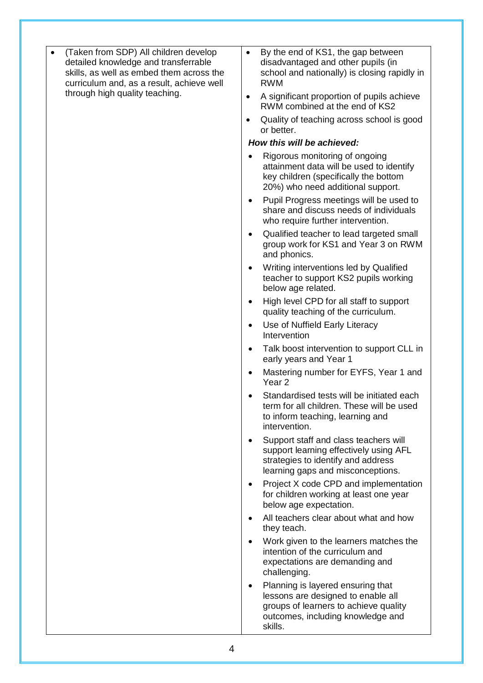- (Taken from SDP) All children develop detailed knowledge and transferrable skills, as well as embed them across the curriculum and, as a result, achieve well through high quality teaching.
- $\bullet$  By the end of KS1, the gap between disadvantaged and other pupils (in school and nationally) is closing rapidly in RWM
- A significant proportion of pupils achieve RWM combined at the end of KS2
- Quality of teaching across school is good or better.

#### *How this will be achieved:*

- Rigorous monitoring of ongoing attainment data will be used to identify key children (specifically the bottom 20%) who need additional support.
- Pupil Progress meetings will be used to share and discuss needs of individuals who require further intervention.
- Qualified teacher to lead targeted small group work for KS1 and Year 3 on RWM and phonics.
- Writing interventions led by Qualified teacher to support KS2 pupils working below age related.
- High level CPD for all staff to support quality teaching of the curriculum.
- Use of Nuffield Early Literacy Intervention
- Talk boost intervention to support CLL in early years and Year 1
- Mastering number for EYFS, Year 1 and Year 2
- Standardised tests will be initiated each term for all children. These will be used to inform teaching, learning and intervention.
- Support staff and class teachers will support learning effectively using AFL strategies to identify and address learning gaps and misconceptions.
- Project X code CPD and implementation for children working at least one year below age expectation.
- All teachers clear about what and how they teach.
- Work given to the learners matches the intention of the curriculum and expectations are demanding and challenging.
- Planning is layered ensuring that lessons are designed to enable all groups of learners to achieve quality outcomes, including knowledge and skills.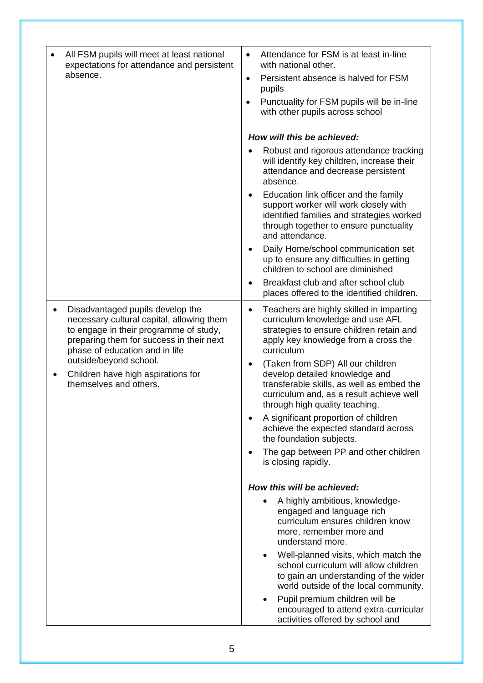| All FSM pupils will meet at least national                                                                                                                                                                         | Attendance for FSM is at least in-line<br>$\bullet$                                                                                                                                                         |
|--------------------------------------------------------------------------------------------------------------------------------------------------------------------------------------------------------------------|-------------------------------------------------------------------------------------------------------------------------------------------------------------------------------------------------------------|
| expectations for attendance and persistent<br>absence.                                                                                                                                                             | with national other.<br>Persistent absence is halved for FSM<br>$\bullet$<br>pupils                                                                                                                         |
|                                                                                                                                                                                                                    | Punctuality for FSM pupils will be in-line<br>with other pupils across school                                                                                                                               |
|                                                                                                                                                                                                                    | How will this be achieved:                                                                                                                                                                                  |
|                                                                                                                                                                                                                    | Robust and rigorous attendance tracking<br>will identify key children, increase their<br>attendance and decrease persistent<br>absence.                                                                     |
|                                                                                                                                                                                                                    | Education link officer and the family<br>support worker will work closely with<br>identified families and strategies worked<br>through together to ensure punctuality<br>and attendance.                    |
|                                                                                                                                                                                                                    | Daily Home/school communication set<br>up to ensure any difficulties in getting<br>children to school are diminished                                                                                        |
|                                                                                                                                                                                                                    | Breakfast club and after school club<br>places offered to the identified children.                                                                                                                          |
| Disadvantaged pupils develop the<br>$\bullet$<br>necessary cultural capital, allowing them<br>to engage in their programme of study,<br>preparing them for success in their next<br>phase of education and in life | Teachers are highly skilled in imparting<br>$\bullet$<br>curriculum knowledge and use AFL<br>strategies to ensure children retain and<br>apply key knowledge from a cross the<br>curriculum                 |
| outside/beyond school.<br>Children have high aspirations for<br>themselves and others.                                                                                                                             | (Taken from SDP) All our children<br>$\bullet$<br>develop detailed knowledge and<br>transferable skills, as well as embed the<br>curriculum and, as a result achieve well<br>through high quality teaching. |
|                                                                                                                                                                                                                    | A significant proportion of children<br>achieve the expected standard across<br>the foundation subjects.                                                                                                    |
|                                                                                                                                                                                                                    | The gap between PP and other children<br>is closing rapidly.                                                                                                                                                |
|                                                                                                                                                                                                                    | How this will be achieved:                                                                                                                                                                                  |
|                                                                                                                                                                                                                    | A highly ambitious, knowledge-<br>engaged and language rich<br>curriculum ensures children know<br>more, remember more and<br>understand more.                                                              |
|                                                                                                                                                                                                                    | Well-planned visits, which match the<br>$\bullet$<br>school curriculum will allow children<br>to gain an understanding of the wider<br>world outside of the local community.                                |
|                                                                                                                                                                                                                    | Pupil premium children will be<br>$\bullet$<br>encouraged to attend extra-curricular<br>activities offered by school and                                                                                    |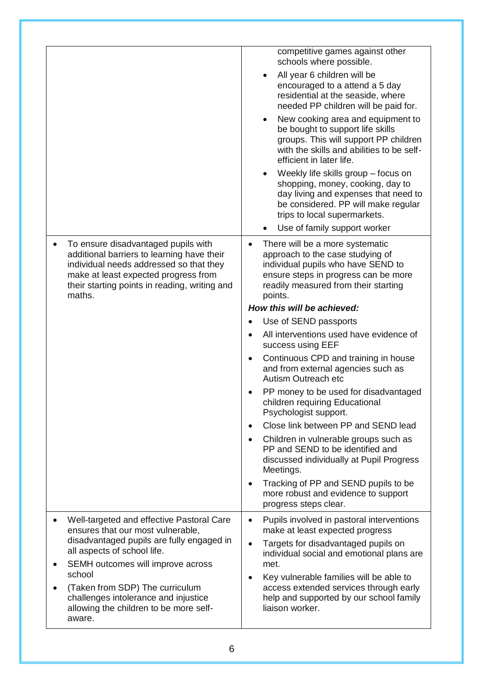|                                                                                                                                                                                                                                 | competitive games against other<br>schools where possible.                                                                                                                                           |
|---------------------------------------------------------------------------------------------------------------------------------------------------------------------------------------------------------------------------------|------------------------------------------------------------------------------------------------------------------------------------------------------------------------------------------------------|
|                                                                                                                                                                                                                                 | All year 6 children will be<br>encouraged to a attend a 5 day<br>residential at the seaside, where<br>needed PP children will be paid for.                                                           |
|                                                                                                                                                                                                                                 | New cooking area and equipment to<br>be bought to support life skills<br>groups. This will support PP children<br>with the skills and abilities to be self-<br>efficient in later life.              |
|                                                                                                                                                                                                                                 | Weekly life skills group – focus on<br>shopping, money, cooking, day to<br>day living and expenses that need to<br>be considered. PP will make regular<br>trips to local supermarkets.               |
|                                                                                                                                                                                                                                 | Use of family support worker                                                                                                                                                                         |
| To ensure disadvantaged pupils with<br>additional barriers to learning have their<br>individual needs addressed so that they<br>make at least expected progress from<br>their starting points in reading, writing and<br>maths. | There will be a more systematic<br>approach to the case studying of<br>individual pupils who have SEND to<br>ensure steps in progress can be more<br>readily measured from their starting<br>points. |
|                                                                                                                                                                                                                                 | How this will be achieved:                                                                                                                                                                           |
|                                                                                                                                                                                                                                 | Use of SEND passports                                                                                                                                                                                |
|                                                                                                                                                                                                                                 | All interventions used have evidence of<br>success using EEF                                                                                                                                         |
|                                                                                                                                                                                                                                 | Continuous CPD and training in house<br>$\bullet$<br>and from external agencies such as<br>Autism Outreach etc                                                                                       |
|                                                                                                                                                                                                                                 | PP money to be used for disadvantaged<br>children requiring Educational<br>Psychologist support.                                                                                                     |
|                                                                                                                                                                                                                                 | Close link between PP and SEND lead<br>$\bullet$                                                                                                                                                     |
|                                                                                                                                                                                                                                 | Children in vulnerable groups such as<br>PP and SEND to be identified and<br>discussed individually at Pupil Progress<br>Meetings.                                                                   |
|                                                                                                                                                                                                                                 | Tracking of PP and SEND pupils to be<br>more robust and evidence to support<br>progress steps clear.                                                                                                 |
| Well-targeted and effective Pastoral Care<br>ensures that our most vulnerable,                                                                                                                                                  | Pupils involved in pastoral interventions<br>$\bullet$<br>make at least expected progress                                                                                                            |
| disadvantaged pupils are fully engaged in<br>all aspects of school life.                                                                                                                                                        | Targets for disadvantaged pupils on<br>$\bullet$<br>individual social and emotional plans are                                                                                                        |
| SEMH outcomes will improve across<br>school                                                                                                                                                                                     | met.<br>Key vulnerable families will be able to<br>$\bullet$                                                                                                                                         |
| (Taken from SDP) The curriculum<br>challenges intolerance and injustice<br>allowing the children to be more self-<br>aware.                                                                                                     | access extended services through early<br>help and supported by our school family<br>liaison worker.                                                                                                 |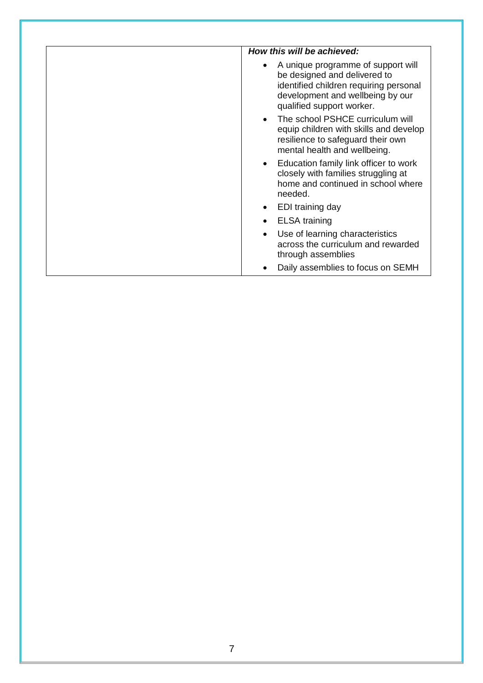| How this will be achieved:                                                                                                                                                    |
|-------------------------------------------------------------------------------------------------------------------------------------------------------------------------------|
| A unique programme of support will<br>be designed and delivered to<br>identified children requiring personal<br>development and wellbeing by our<br>qualified support worker. |
| The school PSHCE curriculum will<br>equip children with skills and develop<br>resilience to safeguard their own<br>mental health and wellbeing.                               |
| Education family link officer to work<br>closely with families struggling at<br>home and continued in school where<br>needed.                                                 |
| EDI training day                                                                                                                                                              |
| <b>ELSA</b> training                                                                                                                                                          |
| Use of learning characteristics<br>across the curriculum and rewarded<br>through assemblies                                                                                   |
| Daily assemblies to focus on SEMH                                                                                                                                             |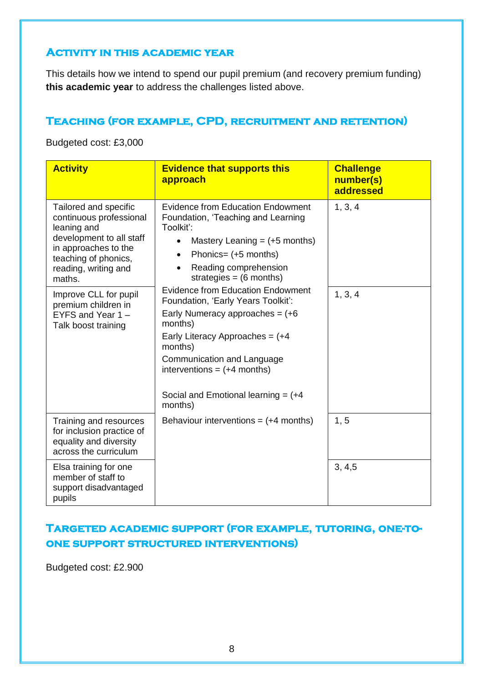### **Activity in this academic year**

This details how we intend to spend our pupil premium (and recovery premium funding) **this academic year** to address the challenges listed above.

### **Teaching (for example, CPD, recruitment and retention)**

Budgeted cost: £3,000

| <b>Activity</b>                                                                                                                                                                                        | <b>Evidence that supports this</b><br>approach                                                                                                                                                                                                                        | <b>Challenge</b><br>number(s)<br>addressed |
|--------------------------------------------------------------------------------------------------------------------------------------------------------------------------------------------------------|-----------------------------------------------------------------------------------------------------------------------------------------------------------------------------------------------------------------------------------------------------------------------|--------------------------------------------|
| Tailored and specific<br>continuous professional<br>leaning and<br>development to all staff<br>in approaches to the<br>teaching of phonics,<br>reading, writing and<br>maths.<br>Improve CLL for pupil | <b>Evidence from Education Endowment</b><br>Foundation, 'Teaching and Learning<br>Toolkit':<br>Mastery Leaning $= (+5$ months)<br>Phonics= (+5 months)<br>$\bullet$<br>Reading comprehension<br>strategies = $(6$ months)<br><b>Evidence from Education Endowment</b> | 1, 3, 4<br>1, 3, 4                         |
| premium children in<br>EYFS and Year $1 -$<br>Talk boost training                                                                                                                                      | Foundation, 'Early Years Toolkit':<br>Early Numeracy approaches = $(+6)$<br>months)<br>Early Literacy Approaches = $(+4)$<br>months)<br>Communication and Language<br>interventions = $(+4$ months)<br>Social and Emotional learning = $(+4)$<br>months)              |                                            |
| Training and resources<br>for inclusion practice of<br>equality and diversity<br>across the curriculum                                                                                                 | Behaviour interventions = $(+4$ months)                                                                                                                                                                                                                               | 1, 5                                       |
| Elsa training for one<br>member of staff to<br>support disadvantaged<br>pupils                                                                                                                         |                                                                                                                                                                                                                                                                       | 3, 4, 5                                    |

### **Targeted academic support (for example, tutoring, one-toone support structured interventions)**

Budgeted cost: £2.900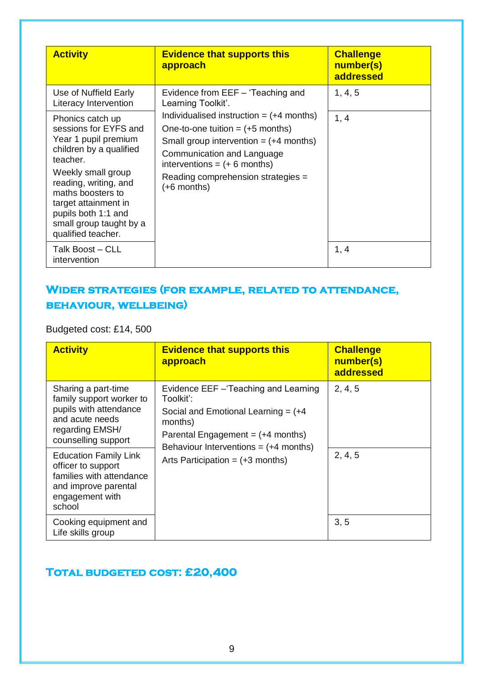| <b>Activity</b>                                                                                                                                                                                                                                                              | <b>Evidence that supports this</b><br>approach                                                                                                                                                                                                              | <b>Challenge</b><br>number(s)<br>addressed |
|------------------------------------------------------------------------------------------------------------------------------------------------------------------------------------------------------------------------------------------------------------------------------|-------------------------------------------------------------------------------------------------------------------------------------------------------------------------------------------------------------------------------------------------------------|--------------------------------------------|
| Use of Nuffield Early<br>Literacy Intervention                                                                                                                                                                                                                               | Evidence from EEF - 'Teaching and<br>Learning Toolkit'.                                                                                                                                                                                                     | 1, 4, 5                                    |
| Phonics catch up<br>sessions for EYFS and<br>Year 1 pupil premium<br>children by a qualified<br>teacher.<br>Weekly small group<br>reading, writing, and<br>maths boosters to<br>target attainment in<br>pupils both 1:1 and<br>small group taught by a<br>qualified teacher. | Individualised instruction $= (+4 \text{ months})$<br>One-to-one tuition $=$ $(+5$ months)<br>Small group intervention $= (+4$ months)<br>Communication and Language<br>interventions = $(+ 6$ months)<br>Reading comprehension strategies =<br>(+6 months) | 1, 4                                       |
| Talk Boost – CLL<br>intervention                                                                                                                                                                                                                                             |                                                                                                                                                                                                                                                             | 1, 4                                       |

## **Wider strategies (for example, related to attendance, behaviour, wellbeing)**

Budgeted cost: £14, 500

| <b>Activity</b>                                                                                                                        | <b>Evidence that supports this</b><br>approach                                                                                                                                                                                 | <b>Challenge</b><br>number(s)<br>addressed |
|----------------------------------------------------------------------------------------------------------------------------------------|--------------------------------------------------------------------------------------------------------------------------------------------------------------------------------------------------------------------------------|--------------------------------------------|
| Sharing a part-time<br>family support worker to<br>pupils with attendance<br>and acute needs<br>regarding EMSH/<br>counselling support | Evidence EEF - Teaching and Learning<br>Toolkit':<br>Social and Emotional Learning $= (+4)$<br>months)<br>Parental Engagement $= (+4$ months)<br>Behaviour Interventions = $(+4$ months)<br>Arts Participation = $(+3$ months) | 2, 4, 5                                    |
| <b>Education Family Link</b><br>officer to support<br>families with attendance<br>and improve parental<br>engagement with<br>school    |                                                                                                                                                                                                                                | 2, 4, 5                                    |
| Cooking equipment and<br>Life skills group                                                                                             |                                                                                                                                                                                                                                | 3, 5                                       |

### **Total budgeted cost: £20,400**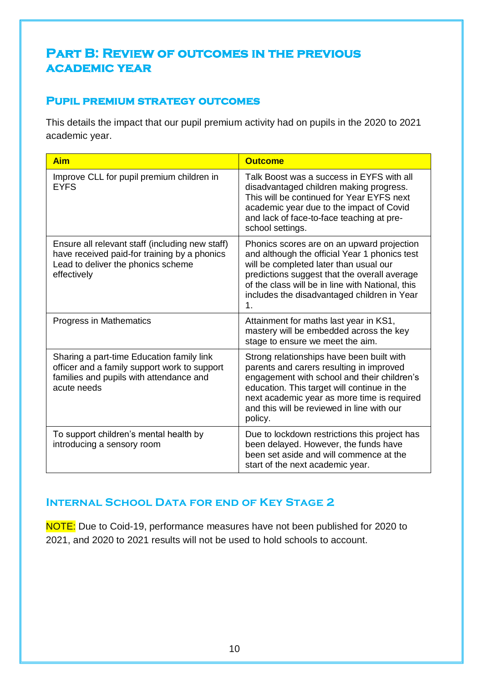# **Part B: Review of outcomes in the previous academic year**

### **Pupil premium strategy outcomes**

This details the impact that our pupil premium activity had on pupils in the 2020 to 2021 academic year.

| <b>Aim</b>                                                                                                                                           | <b>Outcome</b>                                                                                                                                                                                                                                                                                 |
|------------------------------------------------------------------------------------------------------------------------------------------------------|------------------------------------------------------------------------------------------------------------------------------------------------------------------------------------------------------------------------------------------------------------------------------------------------|
| Improve CLL for pupil premium children in<br><b>EYFS</b>                                                                                             | Talk Boost was a success in EYFS with all<br>disadvantaged children making progress.<br>This will be continued for Year EYFS next<br>academic year due to the impact of Covid<br>and lack of face-to-face teaching at pre-<br>school settings.                                                 |
| Ensure all relevant staff (including new staff)<br>have received paid-for training by a phonics<br>Lead to deliver the phonics scheme<br>effectively | Phonics scores are on an upward projection<br>and although the official Year 1 phonics test<br>will be completed later than usual our<br>predictions suggest that the overall average<br>of the class will be in line with National, this<br>includes the disadvantaged children in Year<br>1. |
| Progress in Mathematics                                                                                                                              | Attainment for maths last year in KS1,<br>mastery will be embedded across the key<br>stage to ensure we meet the aim.                                                                                                                                                                          |
| Sharing a part-time Education family link<br>officer and a family support work to support<br>families and pupils with attendance and<br>acute needs  | Strong relationships have been built with<br>parents and carers resulting in improved<br>engagement with school and their children's<br>education. This target will continue in the<br>next academic year as more time is required<br>and this will be reviewed in line with our<br>policy.    |
| To support children's mental health by<br>introducing a sensory room                                                                                 | Due to lockdown restrictions this project has<br>been delayed. However, the funds have<br>been set aside and will commence at the<br>start of the next academic year.                                                                                                                          |

### **Internal School Data for end of Key Stage 2**

NOTE: Due to Coid-19, performance measures have not been published for 2020 to 2021, and 2020 to 2021 results will not be used to hold schools to account.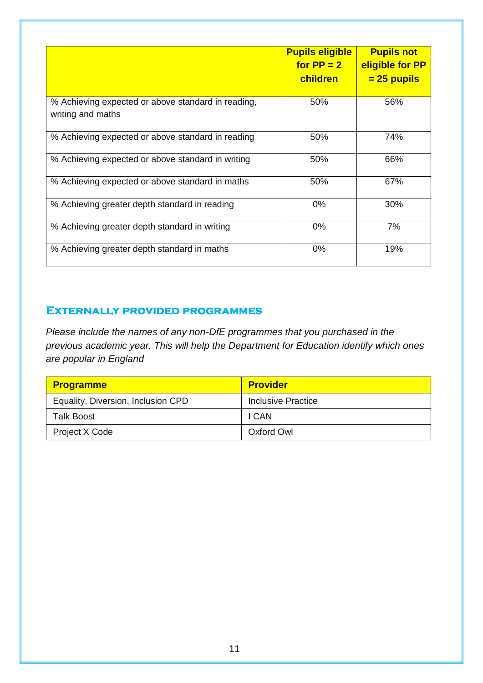|                                                                         | <b>Pupils eligible</b><br>for $PP = 2$<br>children | <b>Pupils not</b><br>eligible for PP<br><u>= 25 pupils</u> |
|-------------------------------------------------------------------------|----------------------------------------------------|------------------------------------------------------------|
| % Achieving expected or above standard in reading,<br>writing and maths | 50%                                                | 56%                                                        |
| % Achieving expected or above standard in reading                       | 50%                                                | 74%                                                        |
| % Achieving expected or above standard in writing                       | 50%                                                | 66%                                                        |
| % Achieving expected or above standard in maths                         | 50%                                                | 67%                                                        |
| % Achieving greater depth standard in reading                           | $0\%$                                              | 30%                                                        |
| % Achieving greater depth standard in writing                           | 0%                                                 | 7%                                                         |
| % Achieving greater depth standard in maths                             | $0\%$                                              | 19%                                                        |

#### **Externally provided programmes**

*Please include the names of any non-DfE programmes that you purchased in the previous academic year. This will help the Department for Education identify which ones are popular in England*

| <b>Programme</b>                   | <b>Provider</b>    |
|------------------------------------|--------------------|
| Equality, Diversion, Inclusion CPD | Inclusive Practice |
| <b>Talk Boost</b>                  | I CAN              |
| Project X Code                     | Oxford Owl         |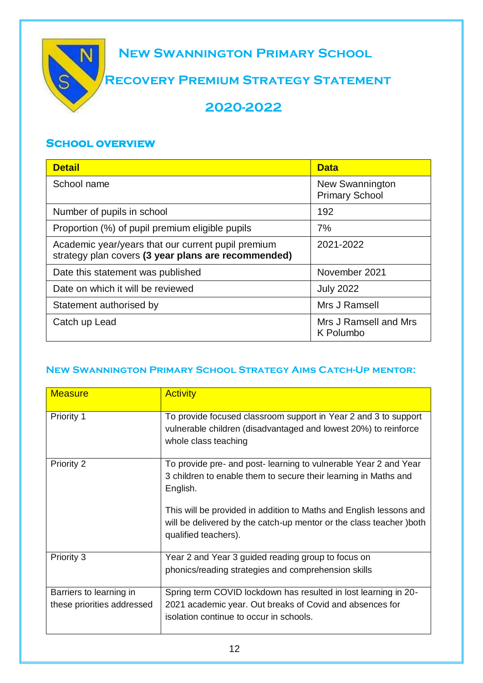

#### **School overview**

| <b>Detail</b>                                                                                             | <b>Data</b>                              |
|-----------------------------------------------------------------------------------------------------------|------------------------------------------|
| School name                                                                                               | New Swannington<br><b>Primary School</b> |
| Number of pupils in school                                                                                | 192                                      |
| Proportion (%) of pupil premium eligible pupils                                                           | 7%                                       |
| Academic year/years that our current pupil premium<br>strategy plan covers (3 year plans are recommended) | 2021-2022                                |
| Date this statement was published                                                                         | November 2021                            |
| Date on which it will be reviewed                                                                         | <b>July 2022</b>                         |
| Statement authorised by                                                                                   | Mrs J Ramsell                            |
| Catch up Lead                                                                                             | Mrs J Ramsell and Mrs<br>K Polumbo       |

#### **New Swannington Primary School Strategy Aims Catch-Up mentor:**

| <b>Measure</b>                                        | <b>Activity</b>                                                                                                                                                        |
|-------------------------------------------------------|------------------------------------------------------------------------------------------------------------------------------------------------------------------------|
| Priority 1                                            | To provide focused classroom support in Year 2 and 3 to support<br>vulnerable children (disadvantaged and lowest 20%) to reinforce<br>whole class teaching             |
| <b>Priority 2</b>                                     | To provide pre- and post-learning to vulnerable Year 2 and Year<br>3 children to enable them to secure their learning in Maths and<br>English.                         |
|                                                       | This will be provided in addition to Maths and English lessons and<br>will be delivered by the catch-up mentor or the class teacher ) both<br>qualified teachers).     |
| Priority 3                                            | Year 2 and Year 3 guided reading group to focus on<br>phonics/reading strategies and comprehension skills                                                              |
| Barriers to learning in<br>these priorities addressed | Spring term COVID lockdown has resulted in lost learning in 20-<br>2021 academic year. Out breaks of Covid and absences for<br>isolation continue to occur in schools. |